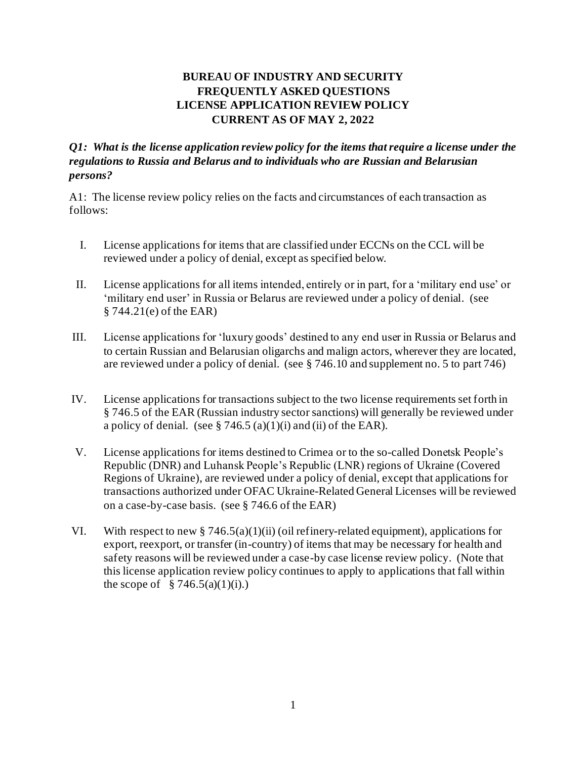## **BUREAU OF INDUSTRY AND SECURITY FREQUENTLY ASKED QUESTIONS LICENSE APPLICATION REVIEW POLICY CURRENT AS OF MAY 2, 2022**

## *Q1: What is the license application review policy for the items that require a license under the regulations to Russia and Belarus and to individuals who are Russian and Belarusian persons?*

A1: The license review policy relies on the facts and circumstances of each transaction as follows:

- I. License applications for items that are classified under ECCNs on the CCL will be reviewed under a policy of denial, except as specified below.
- II. License applications for all items intended, entirely or in part, for a 'military end use' or 'military end user' in Russia or Belarus are reviewed under a policy of denial. (see § 744.21(e) of the EAR)
- III. License applications for 'luxury goods' destined to any end user in Russia or Belarus and to certain Russian and Belarusian oligarchs and malign actors, wherever they are located, are reviewed under a policy of denial. (see § 746.10 and supplement no. 5 to part 746)
- IV. License applications for transactions subject to the two license requirements set forth in § 746.5 of the EAR (Russian industry sector sanctions) will generally be reviewed under a policy of denial. (see  $\S 746.5$  (a)(1)(i) and (ii) of the EAR).
- V. License applications for items destined to Crimea or to the so-called Donetsk People's Republic (DNR) and Luhansk People's Republic (LNR) regions of Ukraine (Covered Regions of Ukraine), are reviewed under a policy of denial, except that applications for transactions authorized under OFAC Ukraine-Related General Licenses will be reviewed on a case-by-case basis. (see § 746.6 of the EAR)
- VI. With respect to new § 746.5(a)(1)(ii) (oil refinery-related equipment), applications for export, reexport, or transfer (in-country) of items that may be necessary for health and safety reasons will be reviewed under a case-by case license review policy. (Note that this license application review policy continues to apply to applications that fall within the scope of  $\S 746.5(a)(1)(i)$ .